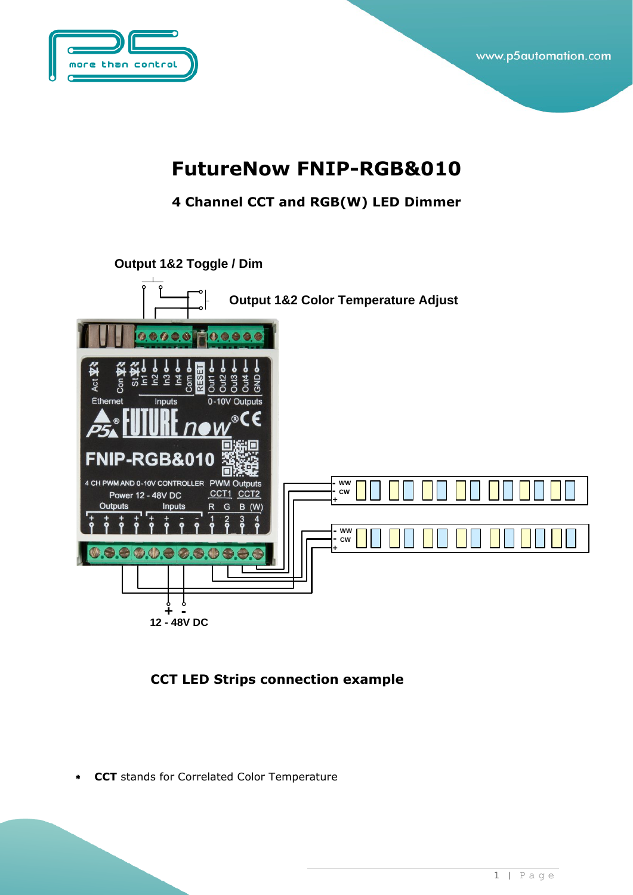

### **FutureNow FNIP-RGB&010**

**4 Channel CCT and RGB(W) LED Dimmer** 



**CCT LED Strips connection example**

**CCT** stands for Correlated Color Temperature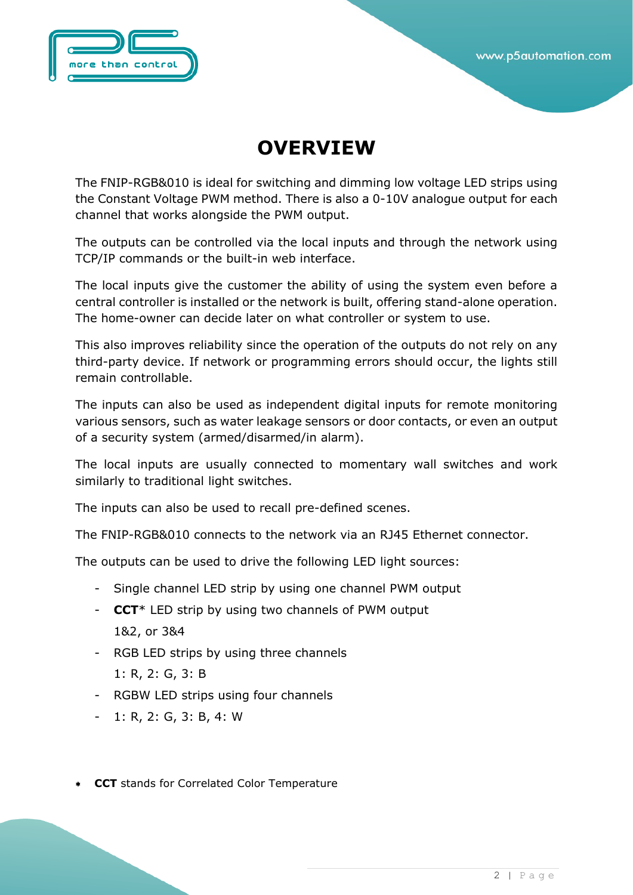## **OVERVIEW**

The FNIP-RGB&010 is ideal for switching and dimming low voltage LED strips using the Constant Voltage PWM method. There is also a 0-10V analogue output for each channel that works alongside the PWM output.

The outputs can be controlled via the local inputs and through the network using TCP/IP commands or the built-in web interface.

The local inputs give the customer the ability of using the system even before a central controller is installed or the network is built, offering stand-alone operation. The home-owner can decide later on what controller or system to use.

This also improves reliability since the operation of the outputs do not rely on any third-party device. If network or programming errors should occur, the lights still remain controllable.

The inputs can also be used as independent digital inputs for remote monitoring various sensors, such as water leakage sensors or door contacts, or even an output of a security system (armed/disarmed/in alarm).

The local inputs are usually connected to momentary wall switches and work similarly to traditional light switches.

The inputs can also be used to recall pre-defined scenes.

The FNIP-RGB&010 connects to the network via an RJ45 Ethernet connector.

The outputs can be used to drive the following LED light sources:

- Single channel LED strip by using one channel PWM output
- **CCT**\* LED strip by using two channels of PWM output 1&2, or 3&4
- RGB LED strips by using three channels
	- 1: R, 2: G, 3: B
- RGBW LED strips using four channels
- 1: R, 2: G, 3: B, 4: W
- **CCT** stands for Correlated Color Temperature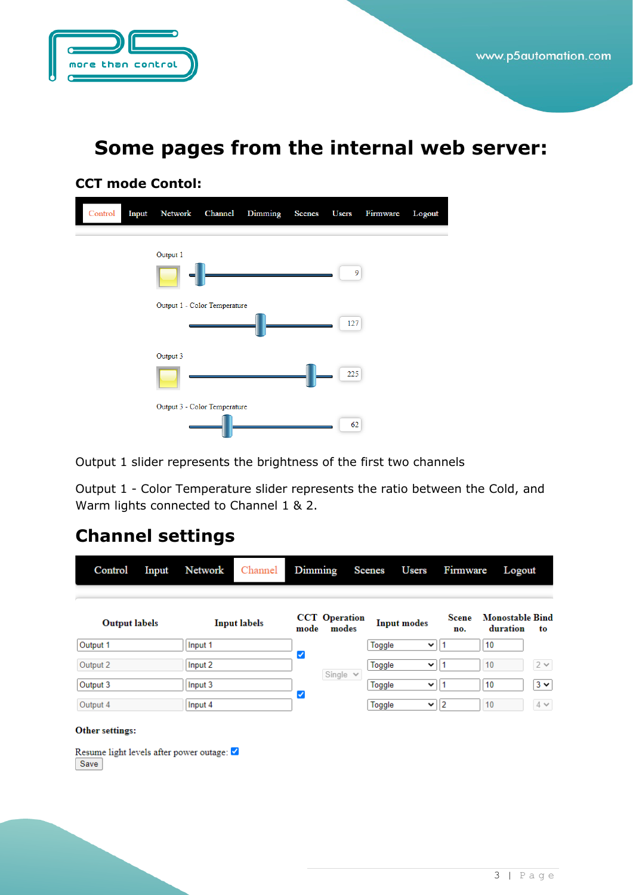

### **Some pages from the internal web server:**

#### **CCT mode Contol:**



Output 1 slider represents the brightness of the first two channels

Output 1 - Color Temperature slider represents the ratio between the Cold, and Warm lights connected to Channel 1 & 2.

### **Channel settings**

| Control              | Input | Network             | Channel | Dimming |                               | <b>Scenes</b> | <b>Users</b>       | Firmware | Logout                                            |             |
|----------------------|-------|---------------------|---------|---------|-------------------------------|---------------|--------------------|----------|---------------------------------------------------|-------------|
| <b>Output labels</b> |       | <b>Input labels</b> |         | mode    | <b>CCT</b> Operation<br>modes |               | <b>Input modes</b> |          | <b>Monostable Bind</b><br>Scene<br>duration<br>to |             |
| Output 1             |       | Input 1             |         |         |                               | Toggle        | $\checkmark$       |          | 10                                                |             |
| Output 2             |       | Input 2             |         | ✓       |                               | Toggle        | $\check{~}$        |          | 10                                                | $2\;\times$ |
| Output 3             |       | Input 3             |         |         | Single $\vee$                 | Toggle        | $\checkmark$       |          | 10                                                | $3 \times$  |
| Output 4             |       | Input 4             |         | ✓       |                               | Toggle        | $\checkmark$       | 2        | 10                                                | $4\, \vee$  |
| Other settings:      |       |                     |         |         |                               |               |                    |          |                                                   |             |

Resume light levels after power outage: Save